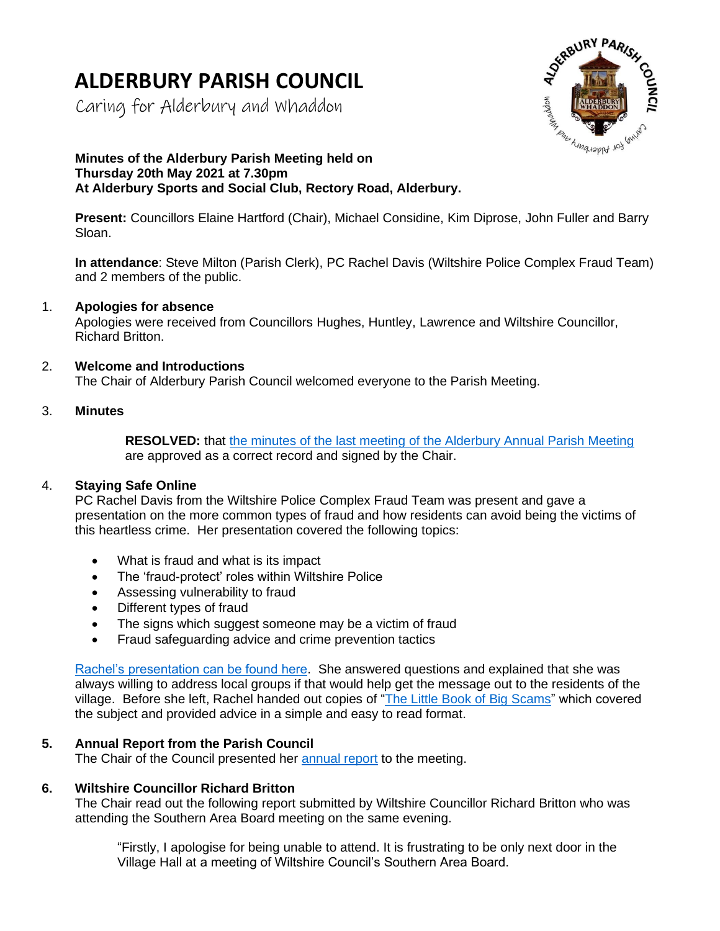# **ALDERBURY PARISH COUNCIL**

Caring for Alderbury and Whaddon



# **Minutes of the Alderbury Parish Meeting held on Thursday 20th May 2021 at 7.30pm At Alderbury Sports and Social Club, Rectory Road, Alderbury.**

**Present:** Councillors Elaine Hartford (Chair), Michael Considine, Kim Diprose, John Fuller and Barry Sloan.

**In attendance**: Steve Milton (Parish Clerk), PC Rachel Davis (Wiltshire Police Complex Fraud Team) and 2 members of the public.

## 1. **Apologies for absence**

Apologies were received from Councillors Hughes, Huntley, Lawrence and Wiltshire Councillor, Richard Britton.

## 2. **Welcome and Introductions**

The Chair of Alderbury Parish Council welcomed everyone to the Parish Meeting.

## 3. **Minutes**

**RESOLVED:** that [the minutes of the last meeting of the Alderbury Annual Parish Meeting](http://www.alderburyparishcouncil.gov.uk/Meetings_Agendas__and__Minutes_34465.aspx) are approved as a correct record and signed by the Chair.

# 4. **Staying Safe Online**

PC Rachel Davis from the Wiltshire Police Complex Fraud Team was present and gave a presentation on the more common types of fraud and how residents can avoid being the victims of this heartless crime. Her presentation covered the following topics:

- What is fraud and what is its impact
- The 'fraud-protect' roles within Wiltshire Police
- Assessing vulnerability to fraud
- Different types of fraud
- The signs which suggest someone may be a victim of fraud
- Fraud safeguarding advice and crime prevention tactics

[Rachel's presentation can be found here.](http://www.alderburyparishcouncil.gov.uk/_UserFiles/Files/Council%20documents/2022/Fraud%20-%20Presentation.pdf) She answered questions and explained that she was always willing to address local groups if that would help get the message out to the residents of the village. Before she left, Rachel handed out copies of "The [Little Book of Big Scams"](https://www.avonandsomerset.police.uk/media/32291114/little-book-of-big-scams.pdf) which covered the subject and provided advice in a simple and easy to read format.

# **5. Annual Report from the Parish Council**

The Chair of the Council presented her [annual report](http://www.alderburyparishcouncil.gov.uk/_UserFiles/Files/Council%20documents/2022/Annual%20Report%202022.pdf) to the meeting.

#### **6. Wiltshire Councillor Richard Britton**

The Chair read out the following report submitted by Wiltshire Councillor Richard Britton who was attending the Southern Area Board meeting on the same evening.

"Firstly, I apologise for being unable to attend. It is frustrating to be only next door in the Village Hall at a meeting of Wiltshire Council's Southern Area Board.